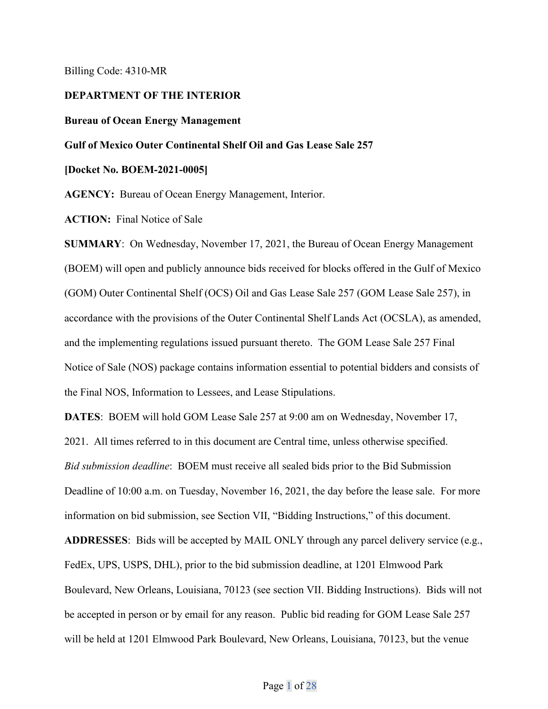#### Billing Code: 4310-MR

#### **DEPARTMENT OF THE INTERIOR**

#### **Bureau of Ocean Energy Management**

#### **Gulf of Mexico Outer Continental Shelf Oil and Gas Lease Sale 257**

**[Docket No. BOEM-2021-0005]**

**AGENCY:** Bureau of Ocean Energy Management, Interior.

**ACTION:** Final Notice of Sale

**SUMMARY**: On Wednesday, November 17, 2021, the Bureau of Ocean Energy Management (BOEM) will open and publicly announce bids received for blocks offered in the Gulf of Mexico (GOM) Outer Continental Shelf (OCS) Oil and Gas Lease Sale 257 (GOM Lease Sale 257), in accordance with the provisions of the Outer Continental Shelf Lands Act (OCSLA), as amended, and the implementing regulations issued pursuant thereto. The GOM Lease Sale 257 Final Notice of Sale (NOS) package contains information essential to potential bidders and consists of the Final NOS, Information to Lessees, and Lease Stipulations.

**DATES**: BOEM will hold GOM Lease Sale 257 at 9:00 am on Wednesday, November 17,

2021. All times referred to in this document are Central time, unless otherwise specified. *Bid submission deadline*: BOEM must receive all sealed bids prior to the Bid Submission Deadline of 10:00 a.m. on Tuesday, November 16, 2021, the day before the lease sale. For more

information on bid submission, see Section VII, "Bidding Instructions," of this document.

**ADDRESSES**: Bids will be accepted by MAIL ONLY through any parcel delivery service (e.g., FedEx, UPS, USPS, DHL), prior to the bid submission deadline, at 1201 Elmwood Park Boulevard, New Orleans, Louisiana, 70123 (see section VII. Bidding Instructions). Bids will not be accepted in person or by email for any reason. Public bid reading for GOM Lease Sale 257 will be held at 1201 Elmwood Park Boulevard, New Orleans, Louisiana, 70123, but the venue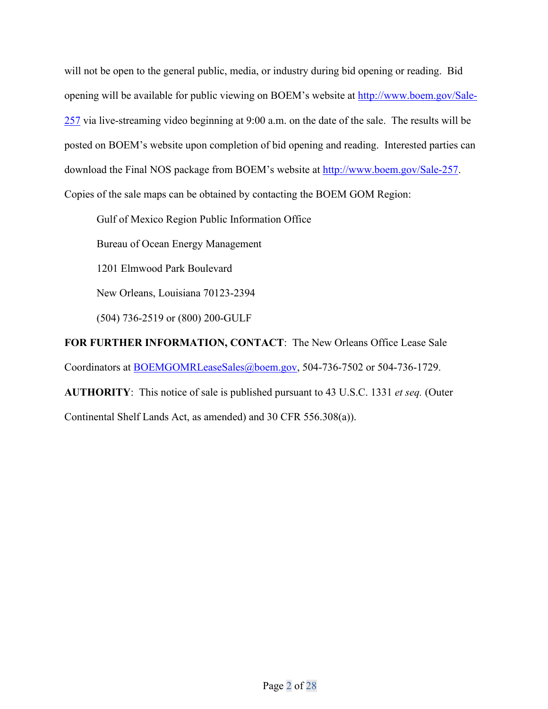will not be open to the general public, media, or industry during bid opening or reading. Bid opening will be available for public viewing on BOEM's website at [http://www.boem.gov/Sale-](http://www.boem.gov/Sale-257)[257](http://www.boem.gov/Sale-257) via live-streaming video beginning at 9:00 a.m. on the date of the sale. The results will be posted on BOEM's website upon completion of bid opening and reading. Interested parties can download the Final NOS package from BOEM's website at [http://www.boem.gov/Sale-257.](http://www.boem.gov/Sale-257) Copies of the sale maps can be obtained by contacting the BOEM GOM Region:

Gulf of Mexico Region Public Information Office

Bureau of Ocean Energy Management

1201 Elmwood Park Boulevard

New Orleans, Louisiana 70123-2394

(504) 736-2519 or (800) 200-GULF

**FOR FURTHER INFORMATION, CONTACT**: The New Orleans Office Lease Sale Coordinators at [BOEMGOMRLeaseSales@boem.gov,](mailto:BOEMGOMRLeaseSales@boem.gov) 504-736-7502 or 504-736-1729. **AUTHORITY**: This notice of sale is published pursuant to 43 U.S.C. 1331 *et seq.* (Outer Continental Shelf Lands Act, as amended) and 30 CFR 556.308(a)).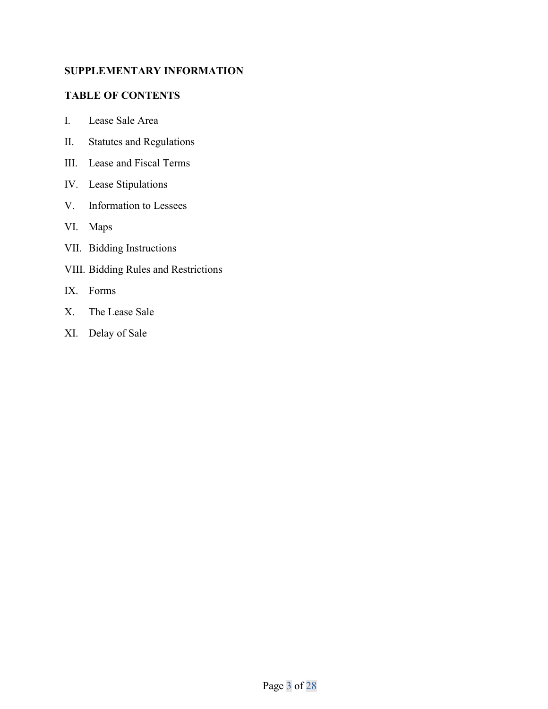## **SUPPLEMENTARY INFORMATION**

## **TABLE OF CONTENTS**

- I. [Lease Sale Area](#page-3-0)
- II. [Statutes and Regulations](#page-5-0)
- III. [Lease and Fiscal Terms](#page-6-0)
- IV. [Lease Stipulations](#page-10-0)
- V. [Information to Lessees](#page-10-1)
- VI. [Maps](#page-12-0)
- VII. [Bidding Instructions](#page-12-1)
- VIII. [Bidding Rules and Restrictions](#page-22-0)
- IX. [Forms](#page-23-0)
- X. [The Lease Sale](#page-24-0)
- XI. [Delay of Sale](#page-26-0)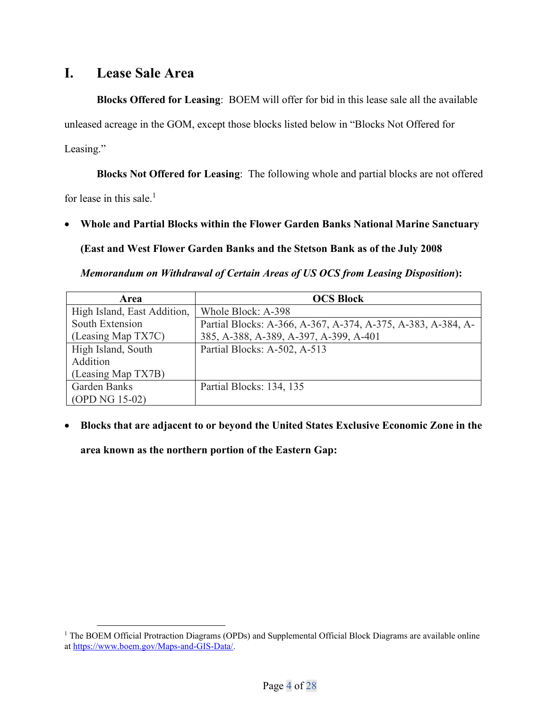# <span id="page-3-0"></span>**I. Lease Sale Area**

**Blocks Offered for Leasing**: BOEM will offer for bid in this lease sale all the available unleased acreage in the GOM, except those blocks listed below in "Blocks Not Offered for Leasing."

**Blocks Not Offered for Leasing**: The following whole and partial blocks are not offered for lease in this sale. $<sup>1</sup>$ </sup>

• **Whole and Partial Blocks within the Flower Garden Banks National Marine Sanctuary**

**(East and West Flower Garden Banks and the Stetson Bank as of the July 2008** 

*Memorandum on Withdrawal of Certain Areas of US OCS from Leasing Disposition***):**

| Area                        | <b>OCS Block</b>                                             |
|-----------------------------|--------------------------------------------------------------|
| High Island, East Addition, | Whole Block: A-398                                           |
| South Extension             | Partial Blocks: A-366, A-367, A-374, A-375, A-383, A-384, A- |
| (Leasing Map TX7C)          | 385, A-388, A-389, A-397, A-399, A-401                       |
| High Island, South          | Partial Blocks: A-502, A-513                                 |
| Addition                    |                                                              |
| (Leasing Map TX7B)          |                                                              |
| <b>Garden Banks</b>         | Partial Blocks: 134, 135                                     |
| (OPD NG 15-02)              |                                                              |

• **Blocks that are adjacent to or beyond the United States Exclusive Economic Zone in the** 

**area known as the northern portion of the Eastern Gap:**

<sup>&</sup>lt;sup>1</sup> The BOEM Official Protraction Diagrams (OPDs) and Supplemental Official Block Diagrams are available online a[t https://www.boem.gov/Maps-and-GIS-Data/.](https://www.boem.gov/Maps-and-GIS-Data/)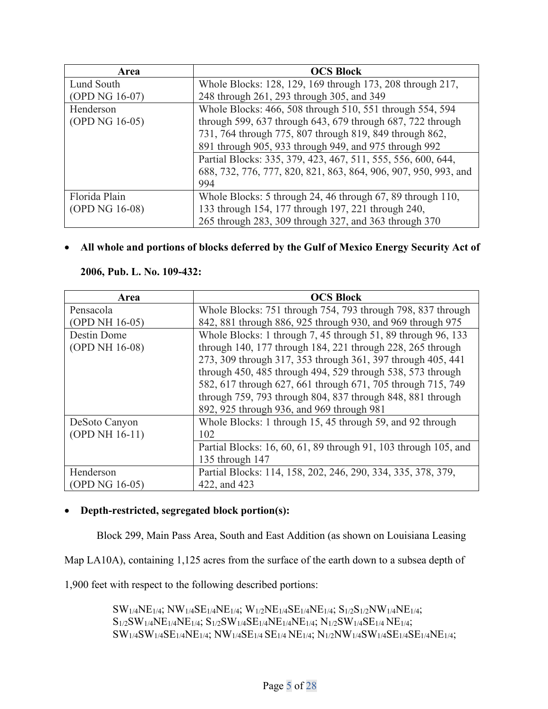| Area           | <b>OCS Block</b>                                                |  |  |  |
|----------------|-----------------------------------------------------------------|--|--|--|
| Lund South     | Whole Blocks: 128, 129, 169 through 173, 208 through 217,       |  |  |  |
| (OPD NG 16-07) | 248 through 261, 293 through 305, and 349                       |  |  |  |
| Henderson      | Whole Blocks: 466, 508 through 510, 551 through 554, 594        |  |  |  |
| (OPD NG 16-05) | through 599, 637 through 643, 679 through 687, 722 through      |  |  |  |
|                | 731, 764 through 775, 807 through 819, 849 through 862,         |  |  |  |
|                | 891 through 905, 933 through 949, and 975 through 992           |  |  |  |
|                | Partial Blocks: 335, 379, 423, 467, 511, 555, 556, 600, 644,    |  |  |  |
|                | 688, 732, 776, 777, 820, 821, 863, 864, 906, 907, 950, 993, and |  |  |  |
|                | 994                                                             |  |  |  |
| Florida Plain  | Whole Blocks: 5 through 24, 46 through 67, 89 through 110,      |  |  |  |
| (OPD NG 16-08) | 133 through 154, 177 through 197, 221 through 240,              |  |  |  |
|                | 265 through 283, 309 through 327, and 363 through 370           |  |  |  |

## • **All whole and portions of blocks deferred by the Gulf of Mexico Energy Security Act of**

## **2006, Pub. L. No. 109-432:**

| Area           | <b>OCS Block</b>                                                |  |  |  |
|----------------|-----------------------------------------------------------------|--|--|--|
| Pensacola      | Whole Blocks: 751 through 754, 793 through 798, 837 through     |  |  |  |
| (OPD NH 16-05) | 842, 881 through 886, 925 through 930, and 969 through 975      |  |  |  |
| Destin Dome    | Whole Blocks: 1 through 7, 45 through 51, 89 through 96, 133    |  |  |  |
| (OPD NH 16-08) | through 140, 177 through 184, 221 through 228, 265 through      |  |  |  |
|                | 273, 309 through 317, 353 through 361, 397 through 405, 441     |  |  |  |
|                | through 450, 485 through 494, 529 through 538, 573 through      |  |  |  |
|                | 582, 617 through 627, 661 through 671, 705 through 715, 749     |  |  |  |
|                | through 759, 793 through 804, 837 through 848, 881 through      |  |  |  |
|                | 892, 925 through 936, and 969 through 981                       |  |  |  |
| DeSoto Canyon  | Whole Blocks: 1 through 15, 45 through 59, and 92 through       |  |  |  |
| (OPD NH 16-11) | 102                                                             |  |  |  |
|                | Partial Blocks: 16, 60, 61, 89 through 91, 103 through 105, and |  |  |  |
|                | 135 through 147                                                 |  |  |  |
| Henderson      | Partial Blocks: 114, 158, 202, 246, 290, 334, 335, 378, 379,    |  |  |  |
| (OPD NG 16-05) | 422, and 423                                                    |  |  |  |

## • **Depth-restricted, segregated block portion(s):**

Block 299, Main Pass Area, South and East Addition (as shown on Louisiana Leasing

Map LA10A), containing 1,125 acres from the surface of the earth down to a subsea depth of

1,900 feet with respect to the following described portions:

SW1/4NE1/4; NW1/4SE1/4NE1/4; W1/2NE1/4SE1/4NE1/4; S1/2S1/2NW1/4NE1/4; S1/2SW1/4NE1/4NE1/4; S1/2SW1/4SE1/4NE1/4NE1/4; N1/2SW1/4SE1/4 NE1/4; SW1/4SW1/4SE1/4NE1/4; NW1/4SE1/4 SE1/4 NE1/4; N1/2NW1/4SW1/4SE1/4SE1/4NE1/4;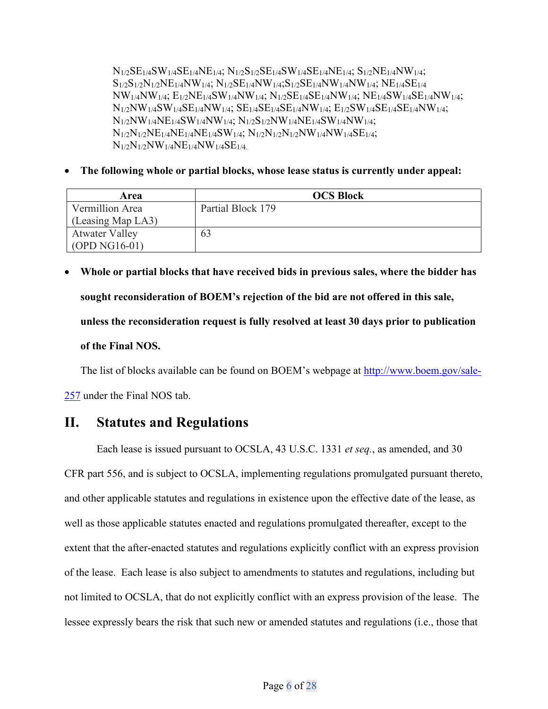N1/2SE1/4SW1/4SE1/4NE1/4; N1/2S1/2SE1/4SW1/4SE1/4NE1/4; S1/2NE1/4NW1/4; S1/2S1/2N1/2NE1/4NW1/4; N1/2SE1/4NW1/4;S1/2SE1/4NW1/4NW1/4; NE1/4SE1/4  $NW_{1/4}NW_{1/4}$ ;  $E_{1/2}NE_{1/4}SW_{1/4}W_{1/4}$ ;  $N_{1/2}SE_{1/4}SE_{1/4}SW_{1/4}$ ;  $NE_{1/4}SW_{1/4}$ ;  $N_{1/4}SE_{1/4}SW_{1/4}$ ;  $N_{1/2}NW_{1/4}SW_{1/4}SE_{1/4}NW_{1/4}$ ;  $SE_{1/4}SE_{1/4}SW_{1/4}$ ;  $E_{1/2}SW_{1/4}SE_{1/4}SW_{1/4}$ ;  $N_{1/2}NW_{1/4}NE_{1/4}SW_{1/4}NW_{1/4}$ ;  $N_{1/2}S_{1/2}NW_{1/4}NE_{1/4}SW_{1/4}$ ; N1/2N1/2NE1/4NE1/4NE1/4SW1/4; N1/2N1/2N1/2NW1/4NW1/4SE1/4; N1/2N1/2NW1/4NE1/4NW1/4SE1/4.

• **The following whole or partial blocks, whose lease status is currently under appeal:** 

| Area                  | <b>OCS Block</b>  |  |
|-----------------------|-------------------|--|
| Vermillion Area       | Partial Block 179 |  |
| (Leasing Map LA3)     |                   |  |
| <b>Atwater Valley</b> | 63                |  |
| $(OPD NG16-01)$       |                   |  |

• **Whole or partial blocks that have received bids in previous sales, where the bidder has sought reconsideration of BOEM's rejection of the bid are not offered in this sale, unless the reconsideration request is fully resolved at least 30 days prior to publication of the Final NOS.**

The list of blocks available can be found on BOEM's webpage at [http://www.boem.gov/sale-](http://www.boem.gov/sale-257)

[257](http://www.boem.gov/sale-257) under the Final NOS tab.

# <span id="page-5-0"></span>**II. Statutes and Regulations**

Each lease is issued pursuant to OCSLA, 43 U.S.C. 1331 *et seq.*, as amended, and 30 CFR part 556, and is subject to OCSLA, implementing regulations promulgated pursuant thereto, and other applicable statutes and regulations in existence upon the effective date of the lease, as well as those applicable statutes enacted and regulations promulgated thereafter, except to the extent that the after-enacted statutes and regulations explicitly conflict with an express provision of the lease. Each lease is also subject to amendments to statutes and regulations, including but not limited to OCSLA, that do not explicitly conflict with an express provision of the lease. The lessee expressly bears the risk that such new or amended statutes and regulations (i.e., those that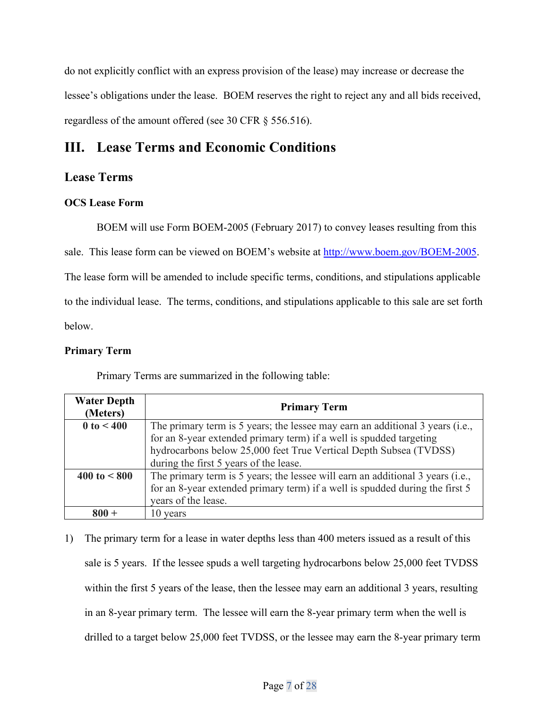do not explicitly conflict with an express provision of the lease) may increase or decrease the lessee's obligations under the lease. BOEM reserves the right to reject any and all bids received, regardless of the amount offered (see 30 CFR § 556.516).

# <span id="page-6-0"></span>**III. Lease Terms and Economic Conditions**

## **Lease Terms**

## **OCS Lease Form**

BOEM will use Form BOEM-2005 (February 2017) to convey leases resulting from this

sale. This lease form can be viewed on BOEM's website at [http://www.boem.gov/BOEM-2005.](http://www.boem.gov/BOEM-2005)

The lease form will be amended to include specific terms, conditions, and stipulations applicable to the individual lease. The terms, conditions, and stipulations applicable to this sale are set forth below.

## **Primary Term**

Primary Terms are summarized in the following table:

| <b>Water Depth</b><br>(Meters) | <b>Primary Term</b>                                                                                                                                                                   |
|--------------------------------|---------------------------------------------------------------------------------------------------------------------------------------------------------------------------------------|
| $0 \text{ to } 400$            | The primary term is 5 years; the lessee may earn an additional 3 years (i.e.,<br>for an 8-year extended primary term) if a well is spudded targeting                                  |
|                                | hydrocarbons below 25,000 feet True Vertical Depth Subsea (TVDSS)<br>during the first 5 years of the lease.                                                                           |
| $400 \text{ to } < 800$        | The primary term is 5 years; the lessee will earn an additional 3 years (i.e.,<br>for an 8-year extended primary term) if a well is spudded during the first 5<br>years of the lease. |
| 800                            | vears                                                                                                                                                                                 |

1) The primary term for a lease in water depths less than 400 meters issued as a result of this sale is 5 years. If the lessee spuds a well targeting hydrocarbons below 25,000 feet TVDSS within the first 5 years of the lease, then the lessee may earn an additional 3 years, resulting in an 8-year primary term. The lessee will earn the 8-year primary term when the well is drilled to a target below 25,000 feet TVDSS, or the lessee may earn the 8-year primary term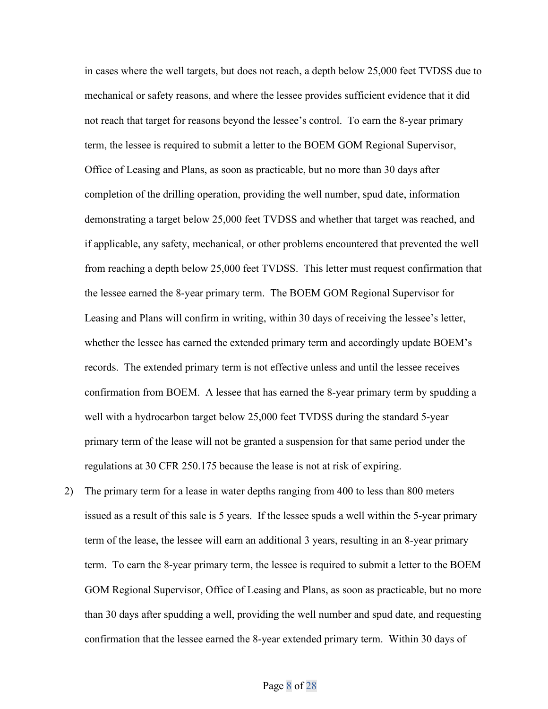in cases where the well targets, but does not reach, a depth below 25,000 feet TVDSS due to mechanical or safety reasons, and where the lessee provides sufficient evidence that it did not reach that target for reasons beyond the lessee's control. To earn the 8-year primary term, the lessee is required to submit a letter to the BOEM GOM Regional Supervisor, Office of Leasing and Plans, as soon as practicable, but no more than 30 days after completion of the drilling operation, providing the well number, spud date, information demonstrating a target below 25,000 feet TVDSS and whether that target was reached, and if applicable, any safety, mechanical, or other problems encountered that prevented the well from reaching a depth below 25,000 feet TVDSS. This letter must request confirmation that the lessee earned the 8-year primary term. The BOEM GOM Regional Supervisor for Leasing and Plans will confirm in writing, within 30 days of receiving the lessee's letter, whether the lessee has earned the extended primary term and accordingly update BOEM's records. The extended primary term is not effective unless and until the lessee receives confirmation from BOEM. A lessee that has earned the 8-year primary term by spudding a well with a hydrocarbon target below 25,000 feet TVDSS during the standard 5-year primary term of the lease will not be granted a suspension for that same period under the regulations at 30 CFR 250.175 because the lease is not at risk of expiring.

2) The primary term for a lease in water depths ranging from 400 to less than 800 meters issued as a result of this sale is 5 years. If the lessee spuds a well within the 5-year primary term of the lease, the lessee will earn an additional 3 years, resulting in an 8-year primary term. To earn the 8-year primary term, the lessee is required to submit a letter to the BOEM GOM Regional Supervisor, Office of Leasing and Plans, as soon as practicable, but no more than 30 days after spudding a well, providing the well number and spud date, and requesting confirmation that the lessee earned the 8-year extended primary term. Within 30 days of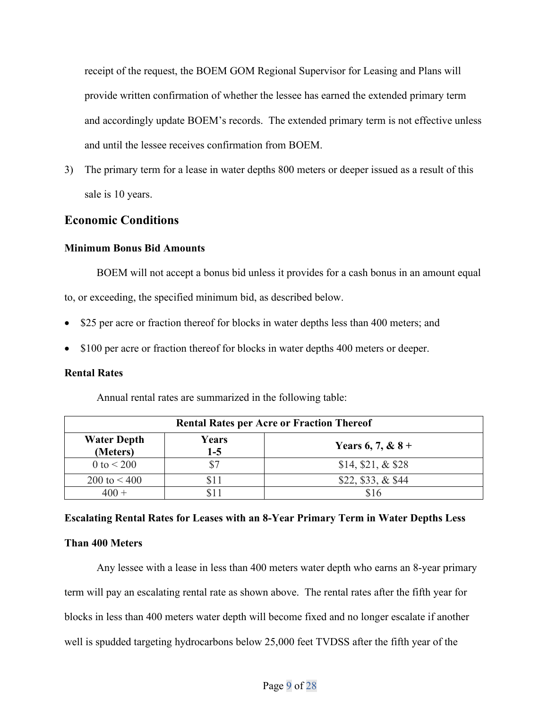receipt of the request, the BOEM GOM Regional Supervisor for Leasing and Plans will provide written confirmation of whether the lessee has earned the extended primary term and accordingly update BOEM's records. The extended primary term is not effective unless and until the lessee receives confirmation from BOEM.

3) The primary term for a lease in water depths 800 meters or deeper issued as a result of this sale is 10 years.

## **Economic Conditions**

## **Minimum Bonus Bid Amounts**

BOEM will not accept a bonus bid unless it provides for a cash bonus in an amount equal to, or exceeding, the specified minimum bid, as described below.

- \$25 per acre or fraction thereof for blocks in water depths less than 400 meters; and
- \$100 per acre or fraction thereof for blocks in water depths 400 meters or deeper.

#### **Rental Rates**

| <b>Rental Rates per Acre or Fraction Thereof</b> |                |                     |  |  |
|--------------------------------------------------|----------------|---------------------|--|--|
| <b>Water Depth</b><br>(Meters)                   | Years<br>$1-5$ | Years 6, 7, & $8 +$ |  |  |
| 0 to $< 200$                                     | \$7            | $$14, $21, \& $28$  |  |  |
| $200 \text{ to } 400$                            | \$11           | $$22, $33, \& $44$  |  |  |
|                                                  | \$11           | \$16                |  |  |

Annual rental rates are summarized in the following table:

# **Escalating Rental Rates for Leases with an 8-Year Primary Term in Water Depths Less Than 400 Meters**

Any lessee with a lease in less than 400 meters water depth who earns an 8-year primary term will pay an escalating rental rate as shown above. The rental rates after the fifth year for blocks in less than 400 meters water depth will become fixed and no longer escalate if another well is spudded targeting hydrocarbons below 25,000 feet TVDSS after the fifth year of the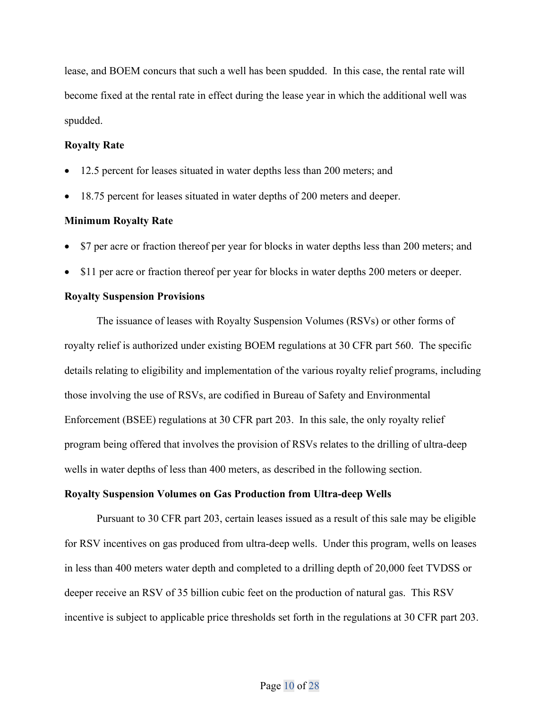lease, and BOEM concurs that such a well has been spudded. In this case, the rental rate will become fixed at the rental rate in effect during the lease year in which the additional well was spudded.

#### **Royalty Rate**

- 12.5 percent for leases situated in water depths less than 200 meters; and
- 18.75 percent for leases situated in water depths of 200 meters and deeper.

#### **Minimum Royalty Rate**

- \$7 per acre or fraction thereof per year for blocks in water depths less than 200 meters; and
- \$11 per acre or fraction thereof per year for blocks in water depths 200 meters or deeper.

#### **Royalty Suspension Provisions**

The issuance of leases with Royalty Suspension Volumes (RSVs) or other forms of royalty relief is authorized under existing BOEM regulations at 30 CFR part 560. The specific details relating to eligibility and implementation of the various royalty relief programs, including those involving the use of RSVs, are codified in Bureau of Safety and Environmental Enforcement (BSEE) regulations at 30 CFR part 203. In this sale, the only royalty relief program being offered that involves the provision of RSVs relates to the drilling of ultra-deep wells in water depths of less than 400 meters, as described in the following section.

#### **Royalty Suspension Volumes on Gas Production from Ultra-deep Wells**

Pursuant to 30 CFR part 203, certain leases issued as a result of this sale may be eligible for RSV incentives on gas produced from ultra-deep wells. Under this program, wells on leases in less than 400 meters water depth and completed to a drilling depth of 20,000 feet TVDSS or deeper receive an RSV of 35 billion cubic feet on the production of natural gas. This RSV incentive is subject to applicable price thresholds set forth in the regulations at 30 CFR part 203.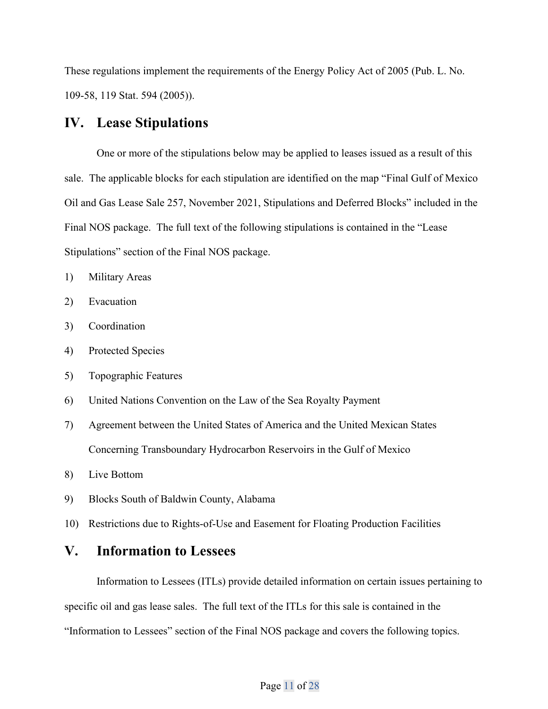These regulations implement the requirements of the Energy Policy Act of 2005 (Pub. L. No. 109-58, 119 Stat. 594 (2005)).

# <span id="page-10-0"></span>**IV. Lease Stipulations**

One or more of the stipulations below may be applied to leases issued as a result of this sale. The applicable blocks for each stipulation are identified on the map "Final Gulf of Mexico Oil and Gas Lease Sale 257, November 2021, Stipulations and Deferred Blocks" included in the Final NOS package. The full text of the following stipulations is contained in the "Lease Stipulations" section of the Final NOS package.

- 1) Military Areas
- 2) Evacuation
- 3) Coordination
- 4) Protected Species
- 5) Topographic Features
- 6) United Nations Convention on the Law of the Sea Royalty Payment
- 7) Agreement between the United States of America and the United Mexican States Concerning Transboundary Hydrocarbon Reservoirs in the Gulf of Mexico
- 8) Live Bottom
- 9) Blocks South of Baldwin County, Alabama
- 10) Restrictions due to Rights-of-Use and Easement for Floating Production Facilities

# <span id="page-10-1"></span>**V. Information to Lessees**

Information to Lessees (ITLs) provide detailed information on certain issues pertaining to specific oil and gas lease sales. The full text of the ITLs for this sale is contained in the "Information to Lessees" section of the Final NOS package and covers the following topics.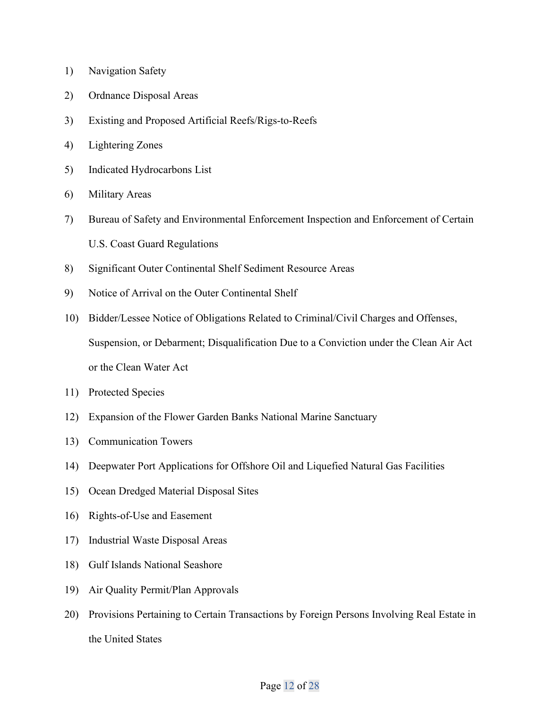- 1) Navigation Safety
- 2) Ordnance Disposal Areas
- 3) Existing and Proposed Artificial Reefs/Rigs-to-Reefs
- 4) Lightering Zones
- 5) Indicated Hydrocarbons List
- 6) Military Areas
- 7) Bureau of Safety and Environmental Enforcement Inspection and Enforcement of Certain U.S. Coast Guard Regulations
- 8) Significant Outer Continental Shelf Sediment Resource Areas
- 9) Notice of Arrival on the Outer Continental Shelf
- 10) Bidder/Lessee Notice of Obligations Related to Criminal/Civil Charges and Offenses, Suspension, or Debarment; Disqualification Due to a Conviction under the Clean Air Act or the Clean Water Act
- 11) Protected Species
- 12) Expansion of the Flower Garden Banks National Marine Sanctuary
- 13) Communication Towers
- 14) Deepwater Port Applications for Offshore Oil and Liquefied Natural Gas Facilities
- 15) Ocean Dredged Material Disposal Sites
- 16) Rights-of-Use and Easement
- 17) Industrial Waste Disposal Areas
- 18) Gulf Islands National Seashore
- 19) Air Quality Permit/Plan Approvals
- 20) Provisions Pertaining to Certain Transactions by Foreign Persons Involving Real Estate in the United States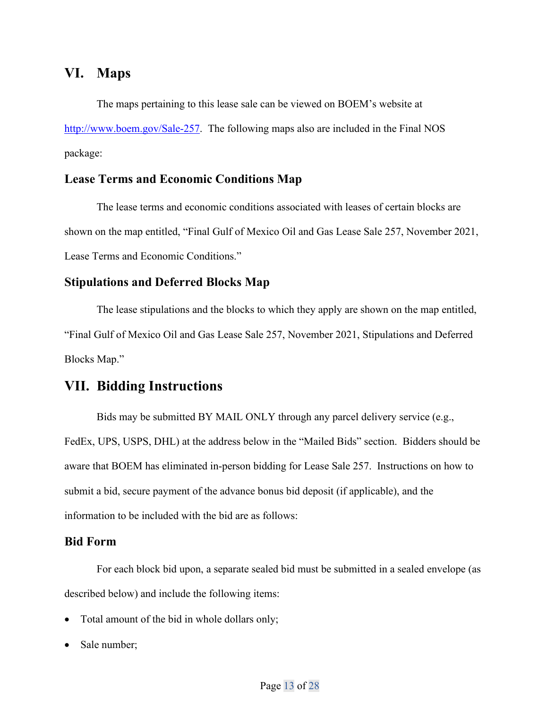# <span id="page-12-0"></span>**VI. Maps**

The maps pertaining to this lease sale can be viewed on BOEM's website at [http://www.boem.gov/Sale-257.](http://www.boem.gov/Sale-257) The following maps also are included in the Final NOS package:

## **Lease Terms and Economic Conditions Map**

The lease terms and economic conditions associated with leases of certain blocks are shown on the map entitled, "Final Gulf of Mexico Oil and Gas Lease Sale 257, November 2021, Lease Terms and Economic Conditions."

## **Stipulations and Deferred Blocks Map**

The lease stipulations and the blocks to which they apply are shown on the map entitled, "Final Gulf of Mexico Oil and Gas Lease Sale 257, November 2021, Stipulations and Deferred Blocks Map."

# <span id="page-12-1"></span>**VII. Bidding Instructions**

Bids may be submitted BY MAIL ONLY through any parcel delivery service (e.g., FedEx, UPS, USPS, DHL) at the address below in the "Mailed Bids" section. Bidders should be aware that BOEM has eliminated in-person bidding for Lease Sale 257. Instructions on how to submit a bid, secure payment of the advance bonus bid deposit (if applicable), and the information to be included with the bid are as follows:

## **Bid Form**

For each block bid upon, a separate sealed bid must be submitted in a sealed envelope (as described below) and include the following items:

- Total amount of the bid in whole dollars only;
- Sale number;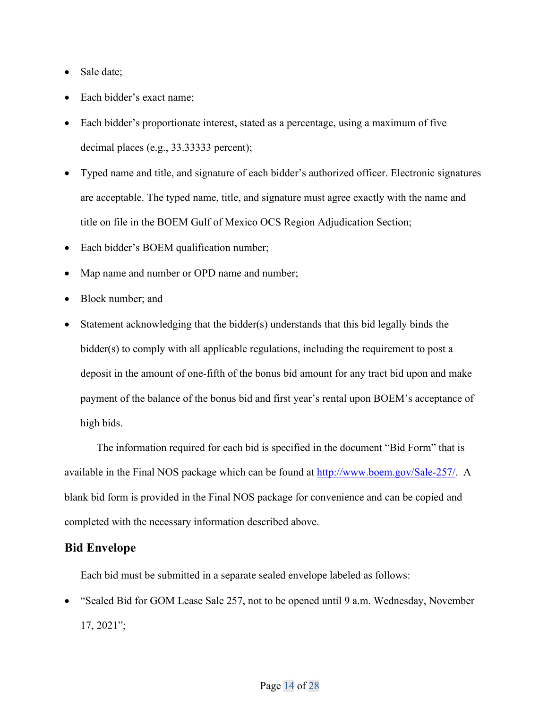- Sale date;
- Each bidder's exact name;
- Each bidder's proportionate interest, stated as a percentage, using a maximum of five decimal places (e.g., 33.33333 percent);
- Typed name and title, and signature of each bidder's authorized officer. Electronic signatures are acceptable. The typed name, title, and signature must agree exactly with the name and title on file in the BOEM Gulf of Mexico OCS Region Adjudication Section;
- Each bidder's BOEM qualification number;
- Map name and number or OPD name and number;
- Block number; and
- Statement acknowledging that the bidder(s) understands that this bid legally binds the bidder(s) to comply with all applicable regulations, including the requirement to post a deposit in the amount of one-fifth of the bonus bid amount for any tract bid upon and make payment of the balance of the bonus bid and first year's rental upon BOEM's acceptance of high bids.

The information required for each bid is specified in the document "Bid Form" that is available in the Final NOS package which can be found at [http://www.boem.gov/Sale-257](http://www.boem.gov/Sale-257/)[/.](http://www.boem.gov/Sale-254/) A blank bid form is provided in the Final NOS package for convenience and can be copied and completed with the necessary information described above.

#### **Bid Envelope**

Each bid must be submitted in a separate sealed envelope labeled as follows:

• "Sealed Bid for GOM Lease Sale 257, not to be opened until 9 a.m. Wednesday, November 17, 2021";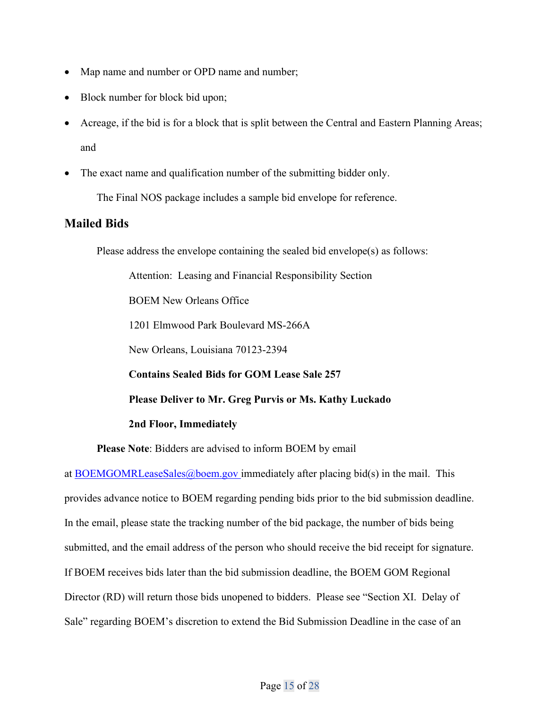- Map name and number or OPD name and number;
- Block number for block bid upon;
- Acreage, if the bid is for a block that is split between the Central and Eastern Planning Areas; and
- The exact name and qualification number of the submitting bidder only.

The Final NOS package includes a sample bid envelope for reference.

## **Mailed Bids**

Please address the envelope containing the sealed bid envelope(s) as follows:

Attention: Leasing and Financial Responsibility Section

BOEM New Orleans Office

1201 Elmwood Park Boulevard MS-266A

New Orleans, Louisiana 70123-2394

**Contains Sealed Bids for GOM Lease Sale 257**

**Please Deliver to Mr. Greg Purvis or Ms. Kathy Luckado**

## **2nd Floor, Immediately**

**Please Note**: Bidders are advised to inform BOEM by email

at [BOEMGOMRLeaseSales@boem.gov](mailto:BOEMGOMRLeaseSales@boem.gov) immediately after placing bid(s) in the mail. This provides advance notice to BOEM regarding pending bids prior to the bid submission deadline. In the email, please state the tracking number of the bid package, the number of bids being submitted, and the email address of the person who should receive the bid receipt for signature. If BOEM receives bids later than the bid submission deadline, the BOEM GOM Regional Director (RD) will return those bids unopened to bidders. Please see "Section XI. Delay of Sale" regarding BOEM's discretion to extend the Bid Submission Deadline in the case of an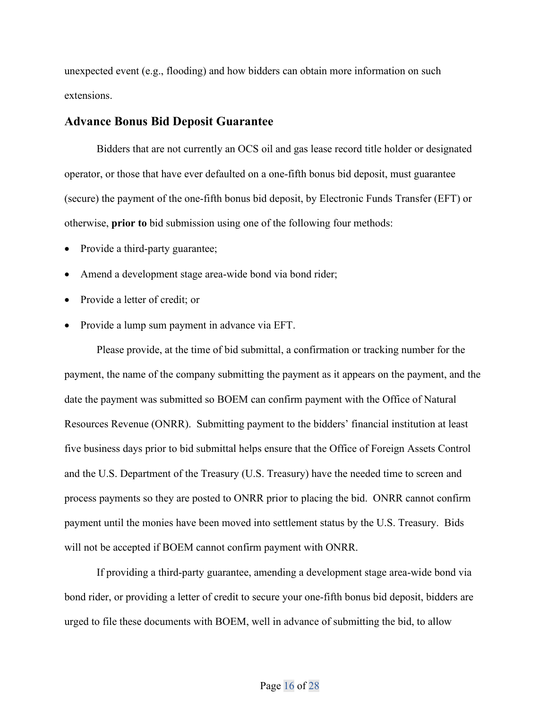unexpected event (e.g., flooding) and how bidders can obtain more information on such extensions.

#### **Advance Bonus Bid Deposit Guarantee**

Bidders that are not currently an OCS oil and gas lease record title holder or designated operator, or those that have ever defaulted on a one-fifth bonus bid deposit, must guarantee (secure) the payment of the one-fifth bonus bid deposit, by Electronic Funds Transfer (EFT) or otherwise, **prior to** bid submission using one of the following four methods:

- Provide a third-party guarantee;
- Amend a development stage area-wide bond via bond rider;
- Provide a letter of credit; or
- Provide a lump sum payment in advance via EFT.

Please provide, at the time of bid submittal, a confirmation or tracking number for the payment, the name of the company submitting the payment as it appears on the payment, and the date the payment was submitted so BOEM can confirm payment with the Office of Natural Resources Revenue (ONRR). Submitting payment to the bidders' financial institution at least five business days prior to bid submittal helps ensure that the Office of Foreign Assets Control and the U.S. Department of the Treasury (U.S. Treasury) have the needed time to screen and process payments so they are posted to ONRR prior to placing the bid. ONRR cannot confirm payment until the monies have been moved into settlement status by the U.S. Treasury. Bids will not be accepted if BOEM cannot confirm payment with ONRR.

If providing a third-party guarantee, amending a development stage area-wide bond via bond rider, or providing a letter of credit to secure your one-fifth bonus bid deposit, bidders are urged to file these documents with BOEM, well in advance of submitting the bid, to allow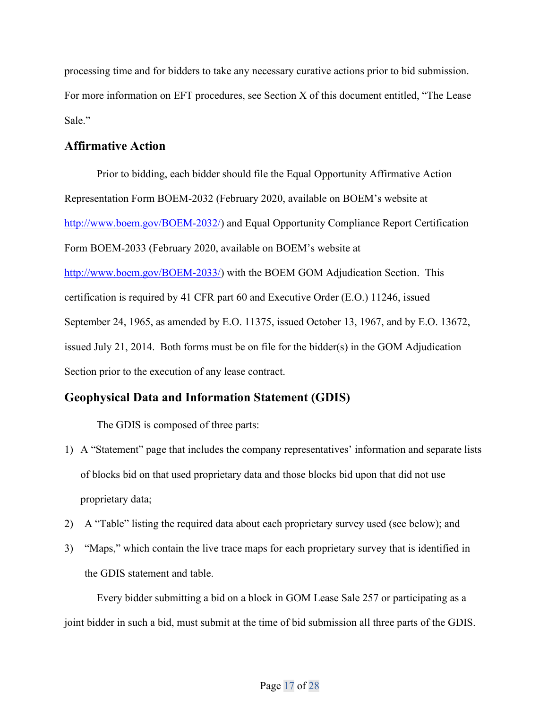processing time and for bidders to take any necessary curative actions prior to bid submission. For more information on EFT procedures, see Section X of this document entitled, "The Lease Sale."

## **Affirmative Action**

Prior to bidding, each bidder should file the Equal Opportunity Affirmative Action Representation Form BOEM-2032 (February 2020, available on BOEM's website at [http://www.boem.gov/BOEM-2032/\)](http://www.boem.gov/BOEM-2032/) and Equal Opportunity Compliance Report Certification Form BOEM-2033 (February 2020, available on BOEM's website at [http://www.boem.gov/BOEM-2033/\)](http://www.boem.gov/BOEM-2033/) with the BOEM GOM Adjudication Section. This certification is required by 41 CFR part 60 and Executive Order (E.O.) 11246, issued September 24, 1965, as amended by E.O. 11375, issued October 13, 1967, and by E.O. 13672, issued July 21, 2014. Both forms must be on file for the bidder(s) in the GOM Adjudication Section prior to the execution of any lease contract.

## **Geophysical Data and Information Statement (GDIS)**

The GDIS is composed of three parts:

- 1) A "Statement" page that includes the company representatives' information and separate lists of blocks bid on that used proprietary data and those blocks bid upon that did not use proprietary data;
- 2) A "Table" listing the required data about each proprietary survey used (see below); and
- 3) "Maps," which contain the live trace maps for each proprietary survey that is identified in the GDIS statement and table.

Every bidder submitting a bid on a block in GOM Lease Sale 257 or participating as a joint bidder in such a bid, must submit at the time of bid submission all three parts of the GDIS.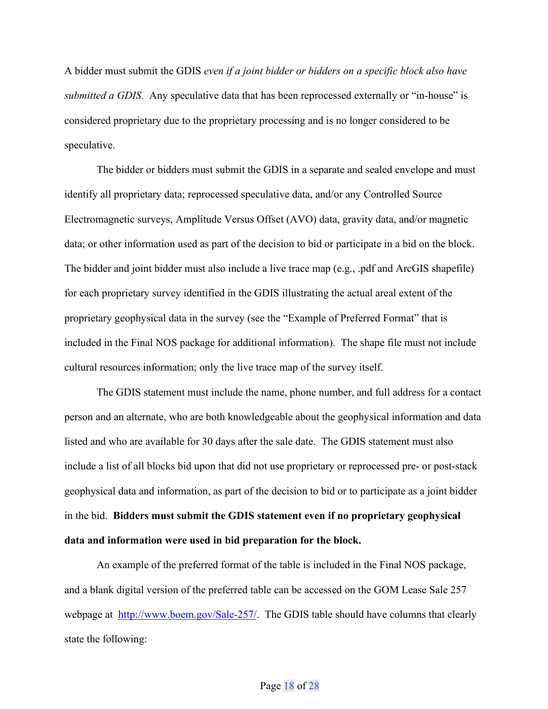A bidder must submit the GDIS *even if a joint bidder or bidders on a specific block also have submitted a GDIS.* Any speculative data that has been reprocessed externally or "in-house" is considered proprietary due to the proprietary processing and is no longer considered to be speculative.

The bidder or bidders must submit the GDIS in a separate and sealed envelope and must identify all proprietary data; reprocessed speculative data, and/or any Controlled Source Electromagnetic surveys, Amplitude Versus Offset (AVO) data, gravity data, and/or magnetic data; or other information used as part of the decision to bid or participate in a bid on the block. The bidder and joint bidder must also include a live trace map (e.g., .pdf and ArcGIS shapefile) for each proprietary survey identified in the GDIS illustrating the actual areal extent of the proprietary geophysical data in the survey (see the "Example of Preferred Format" that is included in the Final NOS package for additional information). The shape file must not include cultural resources information; only the live trace map of the survey itself.

The GDIS statement must include the name, phone number, and full address for a contact person and an alternate, who are both knowledgeable about the geophysical information and data listed and who are available for 30 days after the sale date. The GDIS statement must also include a list of all blocks bid upon that did not use proprietary or reprocessed pre- or post-stack geophysical data and information, as part of the decision to bid or to participate as a joint bidder in the bid. **Bidders must submit the GDIS statement even if no proprietary geophysical data and information were used in bid preparation for the block.**

An example of the preferred format of the table is included in the Final NOS package, and a blank digital version of the preferred table can be accessed on the GOM Lease Sale 257 webpageat [http://www.boem.gov/Sale-257/.](http://www.boem.gov/Sale-257/) The GDIS table should have columns that clearly state the following: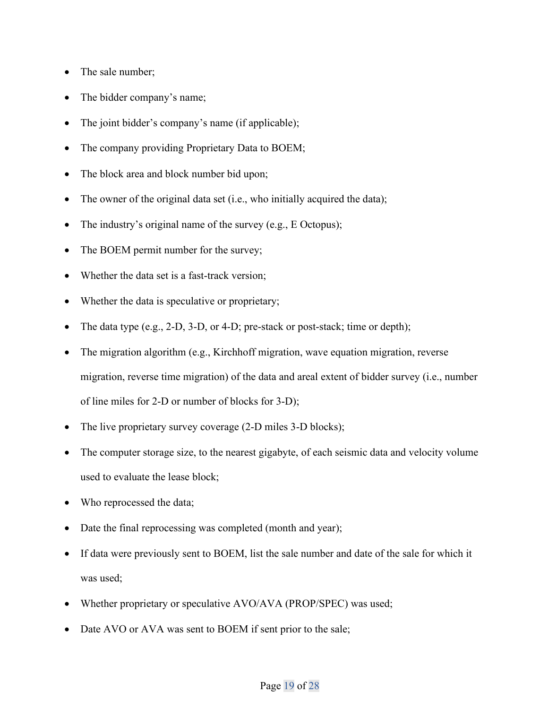- The sale number;
- The bidder company's name;
- The joint bidder's company's name (if applicable);
- The company providing Proprietary Data to BOEM;
- The block area and block number bid upon;
- The owner of the original data set (i.e., who initially acquired the data);
- The industry's original name of the survey (e.g., E Octopus);
- The BOEM permit number for the survey;
- Whether the data set is a fast-track version;
- Whether the data is speculative or proprietary;
- The data type (e.g., 2-D, 3-D, or 4-D; pre-stack or post-stack; time or depth);
- The migration algorithm (e.g., Kirchhoff migration, wave equation migration, reverse migration, reverse time migration) of the data and areal extent of bidder survey (i.e., number of line miles for 2-D or number of blocks for 3-D);
- The live proprietary survey coverage (2-D miles 3-D blocks);
- The computer storage size, to the nearest gigabyte, of each seismic data and velocity volume used to evaluate the lease block;
- Who reprocessed the data;
- Date the final reprocessing was completed (month and year);
- If data were previously sent to BOEM, list the sale number and date of the sale for which it was used;
- Whether proprietary or speculative AVO/AVA (PROP/SPEC) was used;
- Date AVO or AVA was sent to BOEM if sent prior to the sale;

#### Page 19 of 28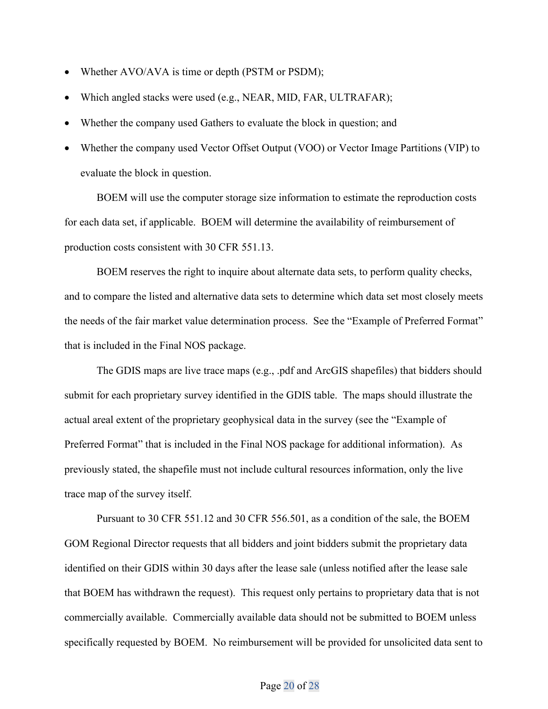- Whether AVO/AVA is time or depth (PSTM or PSDM);
- Which angled stacks were used (e.g., NEAR, MID, FAR, ULTRAFAR);
- Whether the company used Gathers to evaluate the block in question; and
- Whether the company used Vector Offset Output (VOO) or Vector Image Partitions (VIP) to evaluate the block in question.

BOEM will use the computer storage size information to estimate the reproduction costs for each data set, if applicable. BOEM will determine the availability of reimbursement of production costs consistent with 30 CFR 551.13.

BOEM reserves the right to inquire about alternate data sets, to perform quality checks, and to compare the listed and alternative data sets to determine which data set most closely meets the needs of the fair market value determination process. See the "Example of Preferred Format" that is included in the Final NOS package.

The GDIS maps are live trace maps (e.g., .pdf and ArcGIS shapefiles) that bidders should submit for each proprietary survey identified in the GDIS table. The maps should illustrate the actual areal extent of the proprietary geophysical data in the survey (see the "Example of Preferred Format" that is included in the Final NOS package for additional information). As previously stated, the shapefile must not include cultural resources information, only the live trace map of the survey itself.

Pursuant to 30 CFR 551.12 and 30 CFR 556.501, as a condition of the sale, the BOEM GOM Regional Director requests that all bidders and joint bidders submit the proprietary data identified on their GDIS within 30 days after the lease sale (unless notified after the lease sale that BOEM has withdrawn the request). This request only pertains to proprietary data that is not commercially available. Commercially available data should not be submitted to BOEM unless specifically requested by BOEM. No reimbursement will be provided for unsolicited data sent to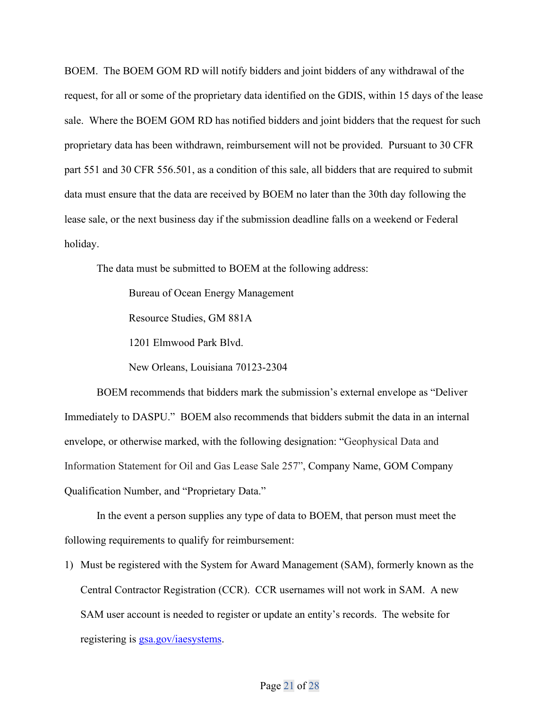BOEM. The BOEM GOM RD will notify bidders and joint bidders of any withdrawal of the request, for all or some of the proprietary data identified on the GDIS, within 15 days of the lease sale. Where the BOEM GOM RD has notified bidders and joint bidders that the request for such proprietary data has been withdrawn, reimbursement will not be provided. Pursuant to 30 CFR part 551 and 30 CFR 556.501, as a condition of this sale, all bidders that are required to submit data must ensure that the data are received by BOEM no later than the 30th day following the lease sale, or the next business day if the submission deadline falls on a weekend or Federal holiday.

The data must be submitted to BOEM at the following address:

Bureau of Ocean Energy Management

Resource Studies, GM 881A

1201 Elmwood Park Blvd.

New Orleans, Louisiana 70123-2304

BOEM recommends that bidders mark the submission's external envelope as "Deliver Immediately to DASPU." BOEM also recommends that bidders submit the data in an internal envelope, or otherwise marked, with the following designation: "Geophysical Data and Information Statement for Oil and Gas Lease Sale 257", Company Name, GOM Company Qualification Number, and "Proprietary Data."

In the event a person supplies any type of data to BOEM, that person must meet the following requirements to qualify for reimbursement:

1) Must be registered with the System for Award Management (SAM), formerly known as the Central Contractor Registration (CCR). CCR usernames will not work in SAM. A new SAM user account is needed to register or update an entity's records. The website for registering is [gsa.gov/iaesystems.](http://gsa.gov/iaesystems)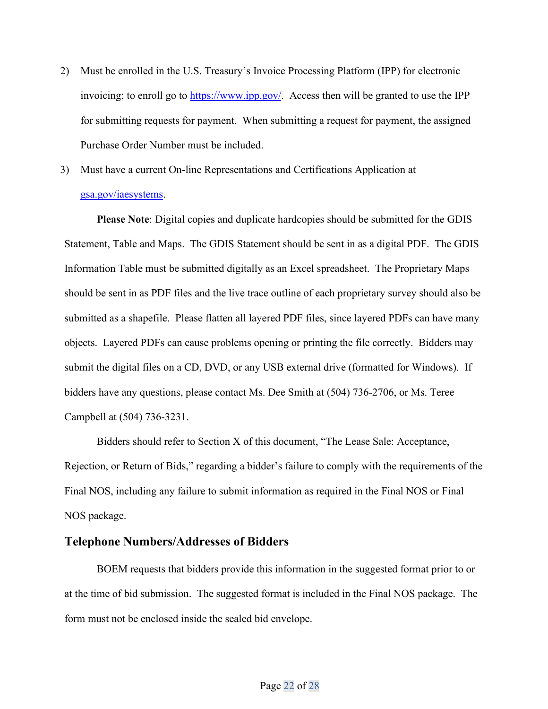- 2) Must be enrolled in the U.S. Treasury's Invoice Processing Platform (IPP) for electronic invoicing; to enroll go to [https://www.ipp.gov/.](https://www.ipp.gov/) Access then will be granted to use the IPP for submitting requests for payment. When submitting a request for payment, the assigned Purchase Order Number must be included.
- 3) Must have a current On-line Representations and Certifications Application at [gsa.gov/iaesystems.](http://gsa.gov/iaesystems)

**Please Note**: Digital copies and duplicate hardcopies should be submitted for the GDIS Statement, Table and Maps. The GDIS Statement should be sent in as a digital PDF. The GDIS Information Table must be submitted digitally as an Excel spreadsheet. The Proprietary Maps should be sent in as PDF files and the live trace outline of each proprietary survey should also be submitted as a shapefile. Please flatten all layered PDF files, since layered PDFs can have many objects. Layered PDFs can cause problems opening or printing the file correctly. Bidders may submit the digital files on a CD, DVD, or any USB external drive (formatted for Windows). If bidders have any questions, please contact Ms. Dee Smith at (504) 736-2706, or Ms. Teree Campbell at (504) 736-3231.

Bidders should refer to Section X of this document, "The Lease Sale: Acceptance, Rejection, or Return of Bids," regarding a bidder's failure to comply with the requirements of the Final NOS, including any failure to submit information as required in the Final NOS or Final NOS package.

#### **Telephone Numbers/Addresses of Bidders**

BOEM requests that bidders provide this information in the suggested format prior to or at the time of bid submission. The suggested format is included in the Final NOS package. The form must not be enclosed inside the sealed bid envelope.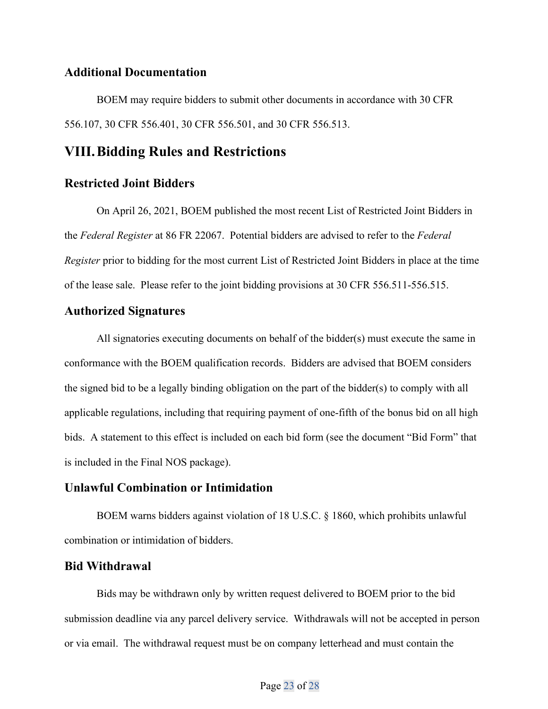## **Additional Documentation**

BOEM may require bidders to submit other documents in accordance with 30 CFR 556.107, 30 CFR 556.401, 30 CFR 556.501, and 30 CFR 556.513.

# <span id="page-22-0"></span>**VIII.Bidding Rules and Restrictions**

## **Restricted Joint Bidders**

On April 26, 2021, BOEM published the most recent List of Restricted Joint Bidders in the *Federal Register* at 86 FR 22067. Potential bidders are advised to refer to the *Federal Register* prior to bidding for the most current List of Restricted Joint Bidders in place at the time of the lease sale. Please refer to the joint bidding provisions at 30 CFR 556.511-556.515.

## **Authorized Signatures**

All signatories executing documents on behalf of the bidder(s) must execute the same in conformance with the BOEM qualification records. Bidders are advised that BOEM considers the signed bid to be a legally binding obligation on the part of the bidder(s) to comply with all applicable regulations, including that requiring payment of one-fifth of the bonus bid on all high bids. A statement to this effect is included on each bid form (see the document "Bid Form" that is included in the Final NOS package).

## **Unlawful Combination or Intimidation**

BOEM warns bidders against violation of 18 U.S.C. § 1860, which prohibits unlawful combination or intimidation of bidders.

#### **Bid Withdrawal**

Bids may be withdrawn only by written request delivered to BOEM prior to the bid submission deadline via any parcel delivery service. Withdrawals will not be accepted in person or via email. The withdrawal request must be on company letterhead and must contain the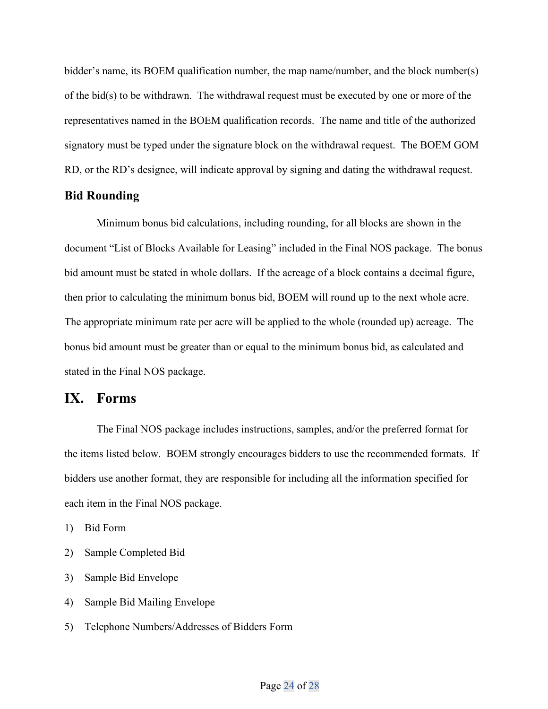bidder's name, its BOEM qualification number, the map name/number, and the block number(s) of the bid(s) to be withdrawn. The withdrawal request must be executed by one or more of the representatives named in the BOEM qualification records. The name and title of the authorized signatory must be typed under the signature block on the withdrawal request. The BOEM GOM RD, or the RD's designee, will indicate approval by signing and dating the withdrawal request.

## **Bid Rounding**

Minimum bonus bid calculations, including rounding, for all blocks are shown in the document "List of Blocks Available for Leasing" included in the Final NOS package. The bonus bid amount must be stated in whole dollars. If the acreage of a block contains a decimal figure, then prior to calculating the minimum bonus bid, BOEM will round up to the next whole acre. The appropriate minimum rate per acre will be applied to the whole (rounded up) acreage. The bonus bid amount must be greater than or equal to the minimum bonus bid, as calculated and stated in the Final NOS package.

## <span id="page-23-0"></span>**IX. Forms**

The Final NOS package includes instructions, samples, and/or the preferred format for the items listed below. BOEM strongly encourages bidders to use the recommended formats. If bidders use another format, they are responsible for including all the information specified for each item in the Final NOS package.

1) Bid Form

- 2) Sample Completed Bid
- 3) Sample Bid Envelope
- 4) Sample Bid Mailing Envelope
- 5) Telephone Numbers/Addresses of Bidders Form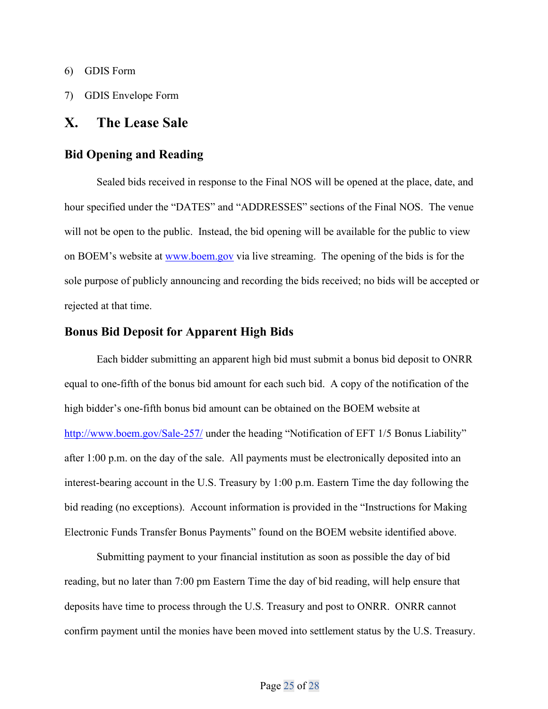- 6) GDIS Form
- 7) GDIS Envelope Form

# <span id="page-24-0"></span>**X. The Lease Sale**

## **Bid Opening and Reading**

Sealed bids received in response to the Final NOS will be opened at the place, date, and hour specified under the "DATES" and "ADDRESSES" sections of the Final NOS. The venue will not be open to the public. Instead, the bid opening will be available for the public to view on BOEM's website at [www.boem.gov](http://www.boem.gov/) via live streaming. The opening of the bids is for the sole purpose of publicly announcing and recording the bids received; no bids will be accepted or rejected at that time.

## **Bonus Bid Deposit for Apparent High Bids**

Each bidder submitting an apparent high bid must submit a bonus bid deposit to ONRR equal to one-fifth of the bonus bid amount for each such bid. A copy of the notification of the high bidder's one-fifth bonus bid amount can be obtained on the BOEM website at <http://www.boem.gov/Sale-257/> under the heading "Notification of EFT 1/5 Bonus Liability" after 1:00 p.m. on the day of the sale. All payments must be electronically deposited into an interest-bearing account in the U.S. Treasury by 1:00 p.m. Eastern Time the day following the bid reading (no exceptions). Account information is provided in the "Instructions for Making Electronic Funds Transfer Bonus Payments" found on the BOEM website identified above.

Submitting payment to your financial institution as soon as possible the day of bid reading, but no later than 7:00 pm Eastern Time the day of bid reading, will help ensure that deposits have time to process through the U.S. Treasury and post to ONRR. ONRR cannot confirm payment until the monies have been moved into settlement status by the U.S. Treasury.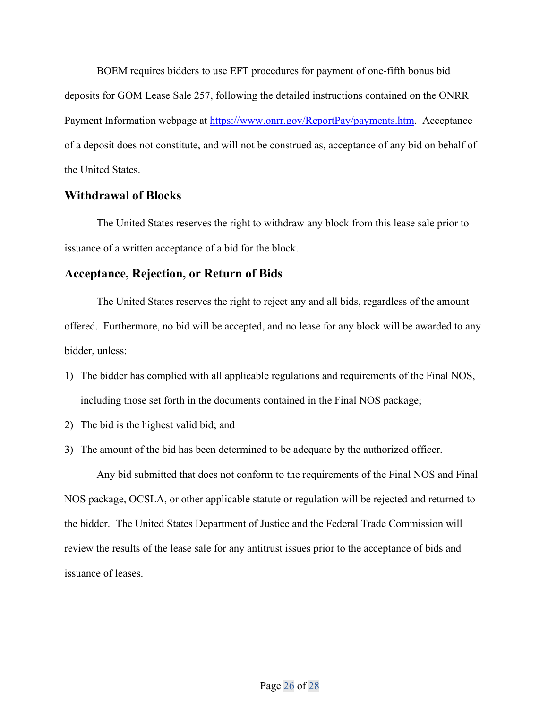BOEM requires bidders to use EFT procedures for payment of one-fifth bonus bid deposits for GOM Lease Sale 257, following the detailed instructions contained on the ONRR Payment Information webpage at [https://www.onrr.gov/ReportPay/payments.htm.](https://www.onrr.gov/ReportPay/payments.htm) Acceptance of a deposit does not constitute, and will not be construed as, acceptance of any bid on behalf of the United States.

## **Withdrawal of Blocks**

The United States reserves the right to withdraw any block from this lease sale prior to issuance of a written acceptance of a bid for the block.

#### **Acceptance, Rejection, or Return of Bids**

The United States reserves the right to reject any and all bids, regardless of the amount offered. Furthermore, no bid will be accepted, and no lease for any block will be awarded to any bidder, unless:

- 1) The bidder has complied with all applicable regulations and requirements of the Final NOS, including those set forth in the documents contained in the Final NOS package;
- 2) The bid is the highest valid bid; and
- 3) The amount of the bid has been determined to be adequate by the authorized officer.

Any bid submitted that does not conform to the requirements of the Final NOS and Final NOS package, OCSLA, or other applicable statute or regulation will be rejected and returned to the bidder. The United States Department of Justice and the Federal Trade Commission will review the results of the lease sale for any antitrust issues prior to the acceptance of bids and issuance of leases.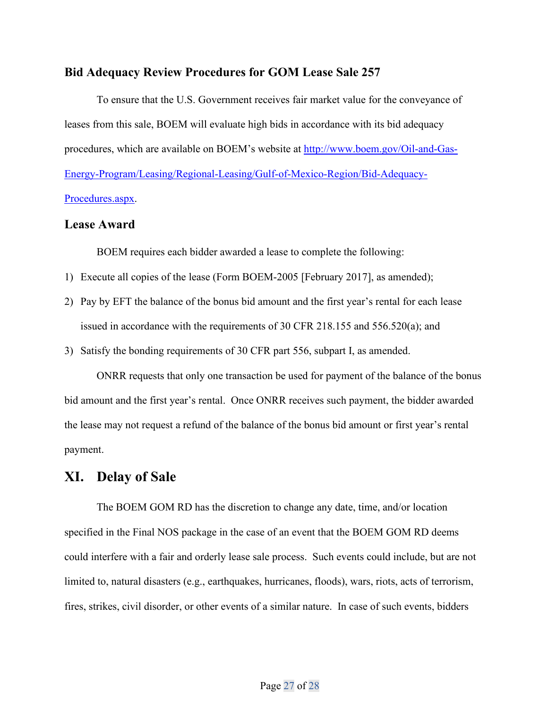#### **Bid Adequacy Review Procedures for GOM Lease Sale 257**

To ensure that the U.S. Government receives fair market value for the conveyance of leases from this sale, BOEM will evaluate high bids in accordance with its bid adequacy procedures, which are available on BOEM's website at [http://www.boem.gov/Oil-and-Gas-](http://www.boem.gov/Oil-and-Gas-Energy-Program/Leasing/Regional-Leasing/Gulf-of-Mexico-Region/Bid-Adequacy-Procedures.aspx)[Energy-Program/Leasing/Regional-Leasing/Gulf-of-Mexico-Region/Bid-Adequacy-](http://www.boem.gov/Oil-and-Gas-Energy-Program/Leasing/Regional-Leasing/Gulf-of-Mexico-Region/Bid-Adequacy-Procedures.aspx)[Procedures.aspx.](http://www.boem.gov/Oil-and-Gas-Energy-Program/Leasing/Regional-Leasing/Gulf-of-Mexico-Region/Bid-Adequacy-Procedures.aspx)

#### **Lease Award**

BOEM requires each bidder awarded a lease to complete the following:

- 1) Execute all copies of the lease (Form BOEM-2005 [February 2017], as amended);
- 2) Pay by EFT the balance of the bonus bid amount and the first year's rental for each lease issued in accordance with the requirements of 30 CFR 218.155 and 556.520(a); and
- 3) Satisfy the bonding requirements of 30 CFR part 556, subpart I, as amended.

ONRR requests that only one transaction be used for payment of the balance of the bonus bid amount and the first year's rental. Once ONRR receives such payment, the bidder awarded the lease may not request a refund of the balance of the bonus bid amount or first year's rental payment.

# <span id="page-26-0"></span>**XI. Delay of Sale**

The BOEM GOM RD has the discretion to change any date, time, and/or location specified in the Final NOS package in the case of an event that the BOEM GOM RD deems could interfere with a fair and orderly lease sale process. Such events could include, but are not limited to, natural disasters (e.g., earthquakes, hurricanes, floods), wars, riots, acts of terrorism, fires, strikes, civil disorder, or other events of a similar nature. In case of such events, bidders